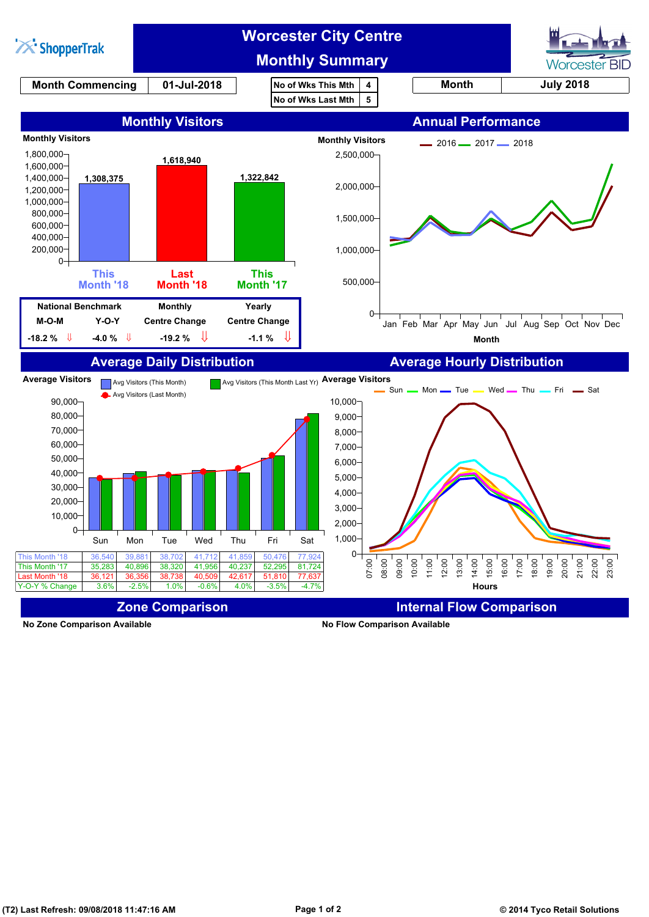

**No Zone Comparison Available No Flow Comparison Available**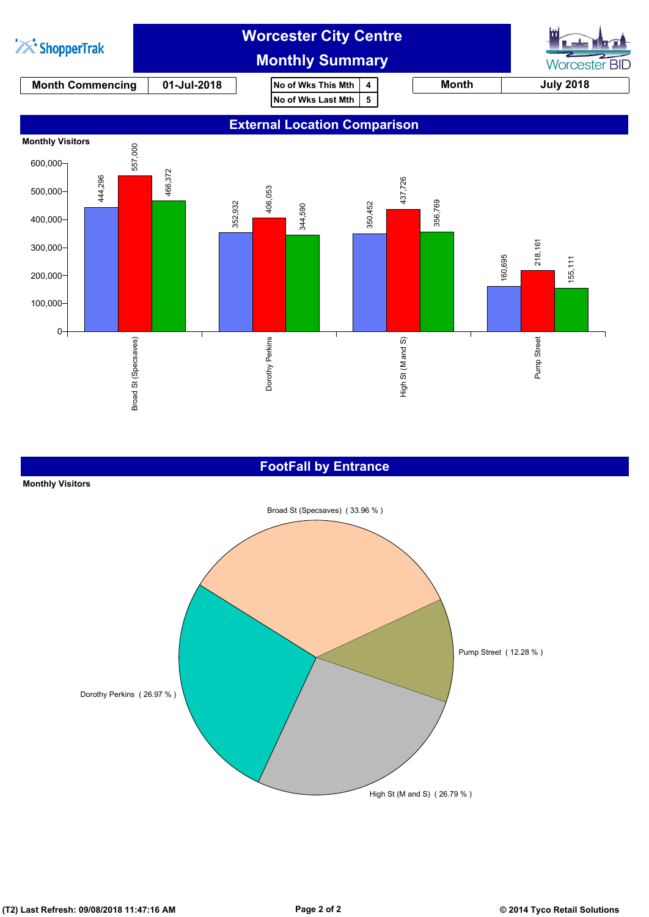

### **FootFall by Entrance**

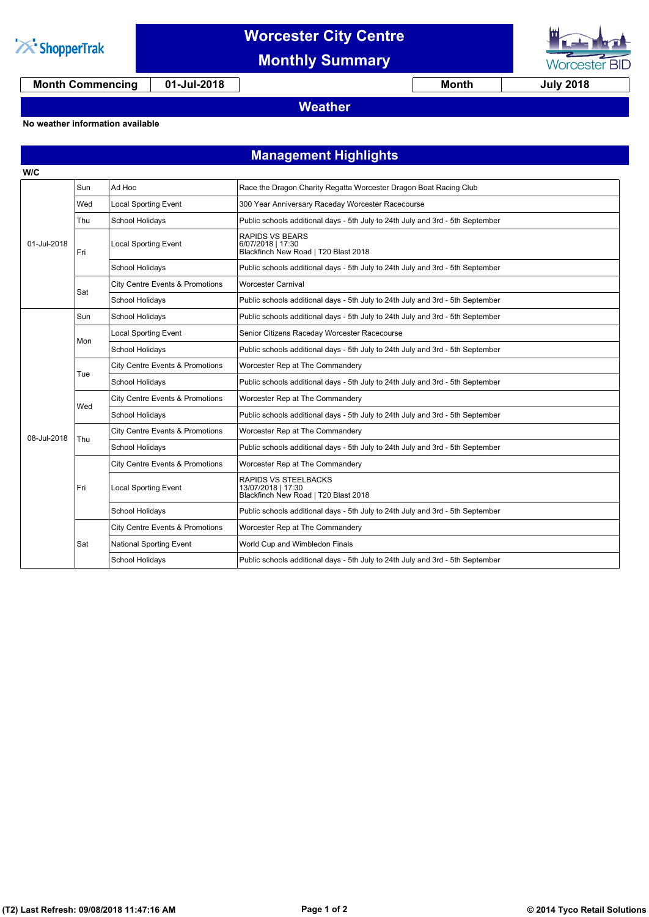

## **Worcester City Centre**

**Monthly Summary**



**Month Commencing 01-Jul-2018 Month July 2018**

### **Weather**

#### **No weather information available**

### **Management Highlights**

| W/C         |     |                                            |                                                                                     |
|-------------|-----|--------------------------------------------|-------------------------------------------------------------------------------------|
| 01-Jul-2018 | Sun | Ad Hoc                                     | Race the Dragon Charity Regatta Worcester Dragon Boat Racing Club                   |
|             | Wed | <b>Local Sporting Event</b>                | 300 Year Anniversary Raceday Worcester Racecourse                                   |
|             | Thu | School Holidays                            | Public schools additional days - 5th July to 24th July and 3rd - 5th September      |
|             | Fri | <b>Local Sporting Event</b>                | <b>RAPIDS VS BEARS</b><br>6/07/2018   17:30<br>Blackfinch New Road   T20 Blast 2018 |
|             |     | School Holidays                            | Public schools additional days - 5th July to 24th July and 3rd - 5th September      |
|             | Sat | <b>City Centre Events &amp; Promotions</b> | <b>Worcester Carnival</b>                                                           |
|             |     | School Holidays                            | Public schools additional days - 5th July to 24th July and 3rd - 5th September      |
|             | Sun | School Holidays                            | Public schools additional days - 5th July to 24th July and 3rd - 5th September      |
|             | Mon | <b>Local Sporting Event</b>                | Senior Citizens Raceday Worcester Racecourse                                        |
|             |     | School Holidays                            | Public schools additional days - 5th July to 24th July and 3rd - 5th September      |
|             | Tue | <b>City Centre Events &amp; Promotions</b> | Worcester Rep at The Commandery                                                     |
|             |     | School Holidays                            | Public schools additional days - 5th July to 24th July and 3rd - 5th September      |
|             | Wed | <b>City Centre Events &amp; Promotions</b> | Worcester Rep at The Commandery                                                     |
|             |     | School Holidays                            | Public schools additional days - 5th July to 24th July and 3rd - 5th September      |
| 08-Jul-2018 | Thu | City Centre Events & Promotions            | Worcester Rep at The Commandery                                                     |
|             |     | <b>School Holidays</b>                     | Public schools additional days - 5th July to 24th July and 3rd - 5th September      |
|             | Fri | City Centre Events & Promotions            | Worcester Rep at The Commandery                                                     |
|             |     | <b>Local Sporting Event</b>                | RAPIDS VS STEELBACKS<br>13/07/2018   17:30<br>Blackfinch New Road   T20 Blast 2018  |
|             |     | School Holidays                            | Public schools additional days - 5th July to 24th July and 3rd - 5th September      |
|             | Sat | <b>City Centre Events &amp; Promotions</b> | Worcester Rep at The Commandery                                                     |
|             |     | National Sporting Event                    | World Cup and Wimbledon Finals                                                      |
|             |     | School Holidays                            | Public schools additional days - 5th July to 24th July and 3rd - 5th September      |